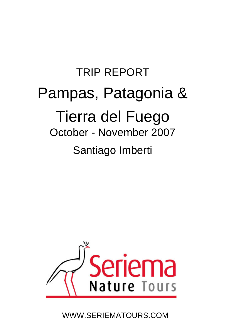# TRIP REPORT Pampas, Patagonia & Tierra del Fuego October - November 2007 Santiago Imberti



WWW.SERIEMATOURS.COM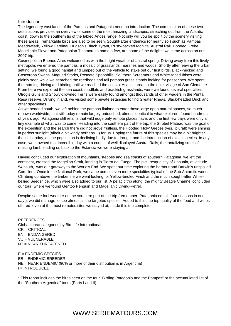#### Introduction

The legendary vast lands of the Pampas and Patagonia need no introduction. The combination of these two destinations provides an overview of some of the most amazing landscapes, stretching out from the Atlantic coast down to the southern tip of the fabled Andes range. Not only will you be spoilt by the scenery visiting these areas, remarkable birds are also to be seen. Sought-after endemics (or nearly so!) such as Pampas Meadowlark, Yellow Cardinal, Hudson's Black Tyrant, Rusty-backed Monjita, Austral Rail, Hooded Grebe, Magellanic Plover and Patagonian Tinamou, to name a few, are some of the delights we came across on our 2007 trip.

Cosmopolitan Buenos Aires welcomed us with the bright weather of austral spring. Driving away from this lively metropolis we entered the pampas: a mosaic of grasslands, marshes and woods. Shortly after leaving the urban setting, we found a good habitat and jumped out of the vehicle to stake out our first birds. Black-necked and Coscoroba Swans, Maguari Storks, Roseate Spoonbills, Southern Screamers and White-faced Ibises were plainly seen while we searched the reedbeds and tall pampas grass stands looking for passerines. We spent the morning driving and birding until we reached the coastal Atlantic area, to the quiet village of San Clemente. From here we explored the sea coast, mudflats and brackish grasslands, were we found several specialties. Olrog's Gulls and Snowy-crowned Terns were easily found amongst thousands of other waders in the Punta Rasa reserve. Driving inland, we visited some private estancias to find Greater Rheas, Black-headed Duck and other specialties.

As we headed south, we left behind the pampas flatland to enter those large open natural spaces, so much renown worldwide, that still today remain largely untouched, almost identical to what explorers found hundreds of years ago. Patagonia still retains that wild edge only remote places have, and the first few days were only a tiny example of what was to come. Heading into the southern part of the trip, the Strobel Plateau was the goal of the expedition and the search there did not prove fruitless, the Hooded 'Holy' Grebes (yes, plural!) were shining in perfect sunlight (albeit a bit windy perhaps…) for us. Hoping the future of this species may be a bit brighter than it is today, as the population is declining badly due to drought and the introduction of exotic species. In any case, we crowned that incredible day with a couple of well displayed Austral Rails, the tantalizing smell of roasting lamb leading us back to the Estancia we were staying at.

Having concluded our exploration of mountains, steppes and sea coasts of southern Patagonia, we left the continent, crossed the Magellan Strait, landing in Tierra del Fuego. The picturesque city of Ushuaia, at latitude 54 south, was our gateway to the World's End. We spent our time exploring the harbour and Darwin's unspoiled Cordillera. Once in the National Park, we came across even more specialties typical of the Sub Antarctic woods. Climbing up above the timberline we went looking for Yellow-bridled Finch and the much sought-after Whitebellied Seedsnipe, which were also added to our list. A pelagic trip along the mighty Beagle Channel concluded our tour, where we found Gentoo Penguin and Magellanic Diving-Petrel.

Despite some foul weather on the southern part of the trip (remember, Patagonia equals four seasons in one day!), we did manage to see almost all the targeted species. Added to this, the top quality of the food and wines offered even at the most remotes sites we stayed at, made this trip complete!

**REFERENCES** Global threat categories by BirdLife International CR = CRITICAL EN = ENDANGERED VU = VULNERABLE NT = NEAR THREATENED

 $E =$  ENDEMIC SPECIES EB = ENDEMIC BREEDER NE = NEAR ENDEMIC (90% or more of their distribution is in Argentina) I = INTRODUCED

\* This report includes the birds seen on the tour "Birding Patagonia and the Pampas" or the accumulated list of the "Southern Argentina" tours (Parts I and II).

## WWW.SERIEMATOURS.COM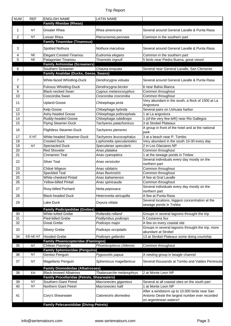| <b>NUM</b> | <b>REF</b> | <b>ENGLISH NAME</b>                                | <b>LATIN NAME</b>         |                                                                                                 |
|------------|------------|----------------------------------------------------|---------------------------|-------------------------------------------------------------------------------------------------|
|            |            | <b>Family Rheidae (Rheas)</b>                      |                           |                                                                                                 |
| 1          | <b>NT</b>  | Greater Rhea                                       | Rhea americana            | Several around General Lavalle & Punta Rasa                                                     |
| 2          | <b>NT</b>  | Lesser Rhea                                        | Pterocnemia pennata       | Common in the southern part                                                                     |
|            |            | <b>Family Tinamidae (Tinamous)</b>                 |                           |                                                                                                 |
| 3          |            | Spotted Nothura                                    | Nothura maculosa          | Several around General Lavalle & Punta Rasa                                                     |
| 4          | <b>NE</b>  | <b>Elegant Crested-Tinamou</b>                     | Eudromia elegans          | Common in the southern part                                                                     |
| 5          | <b>NE</b>  | Patagonian Tinamou                                 | Tinamotis ingoufi         | 5 birds near Piedra Buena, great views!                                                         |
|            |            | <b>Family Anhimidae (Screamers)</b>                |                           |                                                                                                 |
| 6          |            | Southern Screamer                                  | Chauna torquata           | Several near General Lavalle, San Clemente                                                      |
|            |            | Family Anatidae (Ducks, Geese, Swans)              |                           |                                                                                                 |
| 7          |            | White-faced Whistling-Duck                         | Dendrocygna viduata       | Several around General Lavalle & Punta Rasa                                                     |
| 8          |            | Fulvous Whistling-Duck                             | Dendrocygna bicolor       | 6 near Bahia Blanca                                                                             |
| 9          |            | <b>Black-necked Swan</b>                           | Cygnus melanocoryphus     | Common throughout                                                                               |
| 10         |            | Coscoroba Swan                                     | Coscoroba coscoroba       | Common throughout                                                                               |
| 11         |            | <b>Upland Goose</b>                                | Chloephaga picta          | Very abundant in the south, a flock of 1500 at La<br>Angostura                                  |
| 12         |            | Kelp Goose                                         | Chloephaga hybrida        | Several pairs on Ushuaia harbor                                                                 |
| 13         |            | Ashy-headed Goose                                  | Chloephaga poliocephala   | 1 at La angostura                                                                               |
| 14         |            | Ruddy-headed Goose                                 | Chloephaga rubidiceps     | 1 (of the very few left!) near Rio Gallegos                                                     |
| 15         |            | <b>Flying Steamer-Duck</b>                         | Tachyeres patachonicus    | 3 at Strobel Plateaux                                                                           |
| 16         |            | <b>Flightless Steamer-Duck</b>                     | Tachyeres pteneres        | A group in front of the hotel and at the national<br>park                                       |
| 17         | E-NT       | White-headed Steamer-Duck                          | Tachyeres leucocephalus   | 3 at a beach near P. Tombo                                                                      |
| 18         |            | <b>Crested Duck</b>                                | Lophonetta specularioides | Very abundant in the south 10-30 every day                                                      |
| 19         | <b>NT</b>  | Spectacled Duck                                    | Speculanas specularis     | 2 in Los Glaciares NP                                                                           |
| 20         |            | <b>Red Shoveler</b>                                | Anas platalea             | Common throughout                                                                               |
| 21         |            | Cinnamon Teal                                      | Anas cyanoptera           | 1 at the sewage ponds in Trelew                                                                 |
| 22         |            | <b>Silver Teal</b>                                 | Anas versicolor           | Several individuals every day mostly on the<br>northern part                                    |
| 23         |            | Chiloé Wigeon                                      | Anas sibilatrix           | Common throughout                                                                               |
| 24         |            | Speckled Teal                                      | Anas flavirostris         | Common throughout                                                                               |
| 25         |            | <b>White-cheeked Pintail</b>                       | Anas bahamensis           | A few at Gral Lavalle                                                                           |
| 26         |            | Yellow-billed Pintail                              | Anas spinicauda           | Common throughout                                                                               |
| 27         |            | Rosy-billed Pochard                                | Netta peposaca            | Several individuals every day mostly on the<br>northern part                                    |
| 28         |            | <b>Black-headed Duck</b>                           | Heteronetta atricapilla   | A few at Punta Rasa                                                                             |
| 29         |            | Lake Duck                                          | Oxyura vittata            | Several locations, biggest concentration at the<br>sewage ponds in Trelew                       |
|            |            | <b>Family Podicipedidae (Grebes)</b>               |                           |                                                                                                 |
| 30         |            | White-tufted Grebe                                 | Rollandia rolland         | Groups in several lagoons throught the trip                                                     |
| 31         |            | Pied-billed Grebe                                  | Podilymbus podiceps       | 5 Costanera Sur                                                                                 |
| 32         |            | Great Grebe                                        | Podiceps major            | A few on every coastal site                                                                     |
| 33         |            | <b>Silvery Grebe</b>                               | Podiceps occipitalis      | Groups in several lagoons throught the trip, more<br>abundant at Strobel                        |
| 34         | EB-NE-NT   | <b>Hooded Grebe</b>                                | Podiceps gallardoi        | 13 at Strobel Plateaux some doing courtship                                                     |
|            |            | <b>Family Phoenicopteridae (Flamingos)</b>         |                           |                                                                                                 |
| 35         | <b>NT</b>  | Chilean Flamingo                                   | Phoenicopterus chilensis  | Common throughout                                                                               |
|            |            | <b>Family Spheniscidae (Penguins)</b>              |                           |                                                                                                 |
| 36         | <b>NT</b>  | Gentoo Penguin                                     | Pygoscelis papua          | A nesting group in beagle channel                                                               |
| 37         | <b>NT</b>  | Magellanic Penguin                                 | Spheniscus magellanicus   | Several thousands at Tombo and Valdes Peninsula                                                 |
|            |            | <b>Family Diomedeidae (Albatrosses)</b>            |                           |                                                                                                 |
| 38         | EN         | <b>Black-browed Albatross</b>                      | Thalassarche melanophrys  | 2 at Monte Leon NP                                                                              |
|            |            | <b>Family Procellaridae (Petrels, Shearwaters)</b> |                           |                                                                                                 |
| 39         | <b>NT</b>  | Southern Giant Petrel                              | Macronectes giganteus     | Several at all coastal sites on the south part                                                  |
| 40         | <b>NT</b>  | Northern Giant Petrel                              | Macronectes halli         | 1 at Monte Leon NP                                                                              |
| 41         |            | Cory's Shearwater                                  | Calonectris diomedea      | After a windstorm up to 10.000 birds near San<br>Antonio Oeste the largest number ever recorded |
|            |            |                                                    |                           | on argentinean waters!!                                                                         |
|            |            | <b>Family Pelecanoididae (Diving-Petrels)</b>      |                           |                                                                                                 |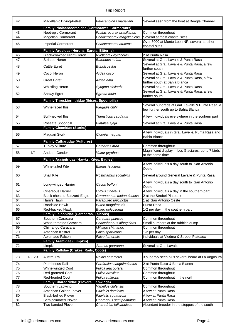| 42 |           | Magellanic Diving-Petrel                                           | Pelecanoides magellani     | Several seen from the boat at Beagle Channel                                              |
|----|-----------|--------------------------------------------------------------------|----------------------------|-------------------------------------------------------------------------------------------|
|    |           | Family Phalacrocoracidae (Cormorants, Cormorants)                  |                            |                                                                                           |
| 43 |           | Neotropic Cormorant                                                | Phalacrocorax brasilianus  | Common throughout                                                                         |
| 44 |           | Magellan Cormorant                                                 | Phalacrocorax magellanicus | Several at most coastal sites                                                             |
| 45 |           | <b>Imperial Cormorant</b>                                          | Phalacrocorax atriceps     | Over 3000 at Monte Leon NP, several at other<br>coastal sites                             |
|    |           | Family Ardeidae (Herons, Egrets, Bitterns)                         |                            |                                                                                           |
| 46 |           | Black-crowned Night-Heron                                          | Nycticorax nycticorax      | 2 at Punta Rasa                                                                           |
| 47 |           | <b>Striated Heron</b>                                              | <b>Butorides striata</b>   | Several at Gral. Lavalle & Punta Rasa                                                     |
|    |           |                                                                    | <b>Bubulcus ibis</b>       | Several at Gral. Lavalle & Punta Rasa, a few                                              |
| 48 |           | Cattle Egret                                                       |                            | further south                                                                             |
| 49 |           | Cocoi Heron                                                        | Ardea cocoi                | Several at Gral. Lavalle & Punta Rasa                                                     |
| 50 |           | <b>Great Egret</b>                                                 | Ardea alba                 | Several at Gral. Lavalle & Punta Rasa, a few<br>further south at Bahia Blanca             |
| 51 |           | <b>Whistling Heron</b>                                             | Syrigma sibilatrix         | Several at Gral. Lavalle & Punta Rasa                                                     |
| 52 |           | Snowy Egret                                                        | Egretta thula              | Several at Gral. Lavalle & Punta Rasa, a few<br>further south                             |
|    |           | Family Threskiornithidae (Ibises, Spoonbills)                      |                            |                                                                                           |
| 53 |           | White-faced Ibis                                                   | Plegadis chihi             | Several hundreds at Gral. Lavalle & Punta Rasa, a<br>few further south up to Bahia Blanca |
| 54 |           | <b>Buff-necked Ibis</b>                                            | Theristicus caudatus       | A few individuals everywhere in the souhern part                                          |
| 55 |           | Roseate Spoonbill                                                  | Platalea ajaja             | Several at Gral. Lavalle & Punta Rasa                                                     |
|    |           | <b>Family Ciconidae (Storks)</b>                                   |                            |                                                                                           |
| 56 |           | Maguari Stork                                                      | Ciconia maguari            | A few individuals in Gral. Lavelle, Punta Rasa and<br>Bahia Blanca                        |
|    |           | <b>Family Cathartidae (Vultures)</b>                               |                            |                                                                                           |
| 57 |           | <b>Turkey Vulture</b>                                              | Cathartes aura             | Common throughout                                                                         |
| 58 | <b>NT</b> | Andean Condor                                                      | Vultur gryphus             | Magnificent display in Los Glaciares, up to 7 birds<br>at the same time                   |
|    |           | Family Accipitridae (Hawks, Kites, Eagles)                         |                            |                                                                                           |
| 59 |           | <b>White-tailed Kite</b>                                           | Elanus Ieucurus            | A few individuals a day south to San Antonio<br>Oeste                                     |
| 60 |           | <b>Snail Kite</b>                                                  | Rostrhamus sociabilis      | Several around General Lavalle & Punta Rasa                                               |
| 61 |           | Long-winged Harrier                                                | Circus buffoni             | A few individuals a day south to San Antonio<br>Oeste                                     |
| 62 |           | Cinereous Harrier                                                  | Circus cinereus            | A few individuals a day in the southern part                                              |
| 63 |           | Black-chested Buzzard-Eagle                                        | Geranoaetus melanoleucus   | 2 at the Strobel Plateaux                                                                 |
| 64 |           | Harri's Hawk                                                       | Parabuteo unicinctus       | 1 at San Antonio Oeste                                                                    |
| 65 |           | Roadside Hawk                                                      | <b>Buteo magnirostris</b>  | Punta Rasa                                                                                |
| 66 |           | Red-backed Hawk<br><b>Family Falconidae (Caracaras, Falcons)</b>   | Buteo polyosoma            | 1-2 per day in the southern part                                                          |
| 67 |           | Southern Caracara                                                  | Caracara plancus           | Common throughout                                                                         |
| 68 |           | <b>White-throated Caracara</b>                                     | Phalcoboenus albogularis   | Small numbers at the rubbish dump                                                         |
| 69 |           | Chimango Caracara                                                  | Milvago chimango           | Common throughout                                                                         |
| 70 |           | American Kestrel                                                   | Falco sparverius           | 1-2 per day                                                                               |
| 71 |           | Aplomado Falcon                                                    | Falco femoralis            | individuals at Viedma & Strobel Plateaux                                                  |
|    |           | <b>Family Aramidae (Limpkin)</b>                                   |                            |                                                                                           |
| 72 |           | Limpkin                                                            | Aramus guarauna            | Several at Gral Lavalle                                                                   |
|    |           | Family Rallidae (Crakes, Rails, Coots)                             |                            |                                                                                           |
| 73 | NE-VU     | <b>Austral Rail</b>                                                | Rallus antarticus          | 3 superbly seen plus several heard at La Angosura                                         |
| 74 |           | Plumbeous Rail                                                     | Pardirallus sanguinolentus | 2 at Punta Rasa & Bahia Blanca                                                            |
| 75 |           | White-winged Coot                                                  | Fulica leucoptera          | Common throughout                                                                         |
| 76 |           | Red-gartered Coot                                                  | Fulica armillata           | Common throughout                                                                         |
| 77 |           | <b>Red-fronted Coot</b><br>Family Charadriidae (Plovers, Lapwings) | Fulica rufifrons           | Common throughout in the north                                                            |
| 78 |           | Southern Lapwing                                                   | Vanellus chilensis         | Common throughout                                                                         |
| 79 |           | American Golden Plover                                             | Pluvialis dominica         | A few at Punta Rasa                                                                       |
| 80 |           | <b>Black-bellied Plover</b>                                        | Pluvialis squatarola       | A few at Punta Rasa                                                                       |
| 81 |           | Semipalmated Plover                                                | Charadrius semipalmatus    | A few at Punta Rasa                                                                       |
| 82 |           | Two-banded Plover                                                  | Charadrius falklandicus    | Abundant breeder in the steppes of the south                                              |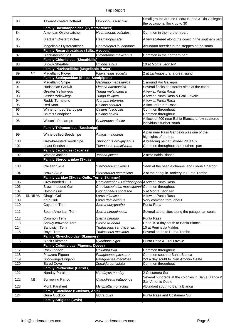| 83       |              | Tawny-throated Dotterel                                                 | Oreopholus ruficollis                            | Small groups around Piedra Buena & Rio Gallegos,<br>the occasional flock up to 30 |
|----------|--------------|-------------------------------------------------------------------------|--------------------------------------------------|-----------------------------------------------------------------------------------|
| 84       |              | <b>Family Haematopodidae (Oystercatchers)</b><br>American Oystercatcher | Haematopus palliatus                             | Common in the northern part                                                       |
|          |              |                                                                         |                                                  |                                                                                   |
| 85       |              | <b>Blackish Oystercatcher</b>                                           | Haematopus ater                                  | A few scatered along the coast in the southern part                               |
| 86       |              | Magellanic Oystercatcher                                                | Haematopus leucopodus                            | Abundant breeder in the steppes of the south                                      |
| 87       |              | Family Recurvirostridae (Stilts, Avocets)<br><b>Black-necked Stilt</b>  | Himantopus mexicanus                             | Common in the northern part                                                       |
|          |              | <b>Family Chionididae (Sheathbills)</b>                                 |                                                  |                                                                                   |
| 88       |              | Snowy Sheathbill                                                        | Chionis albus                                    | 10 at Monte Leon NP                                                               |
|          |              | <b>Family Pluvianellidae (Magellanic Plover)</b>                        |                                                  |                                                                                   |
| 89       | $\sf{NT}$    | Magellanic Plover                                                       | Pluvianellus socialis                            | 2 at La Angostura, a great sight!                                                 |
|          |              | <b>Family Scolopacidae (Snipe, Sandpipers)</b>                          |                                                  |                                                                                   |
| 90       |              | Magellanic Snipe                                                        | Gallinago magellanica                            | 1 around Rio Gallegos                                                             |
| 91       |              | <b>Hudsonian Godwit</b>                                                 | Limosa haemastica                                | Several flocks at different sites at the coast                                    |
| 92       |              | <b>Greater Yellowlegs</b>                                               | Tringa melanoleuca                               | A few at Punta Rasa                                                               |
| 93<br>94 |              | Lesser Yellowlegs<br><b>Ruddy Turnstone</b>                             | Tringa flavipes<br>Arenaria interpres            | A few at Punta Rasa & Gral. Lavalle<br>A few at Punta Rasa                        |
| 95       |              | Red Knot                                                                | Calidris canutus                                 | A flock at Punta Rasa                                                             |
| 96       |              | <b>White-rumped Sandpiper</b>                                           | Calidris fuscicollis                             | Common throughout                                                                 |
| 97       |              | <b>Baird's Sandpiper</b>                                                | Calidris bairdii                                 | Common throughout                                                                 |
|          |              |                                                                         |                                                  | A flock of 400 near Bahia Blanca, a few scattered                                 |
| 98       |              | Wilson's Phalarope                                                      | Phalaropus tricolor                              | individuals further south                                                         |
|          |              | <b>Family Thinocoridae (Seedsnipe)</b>                                  |                                                  |                                                                                   |
|          |              |                                                                         |                                                  | A pair near Paso Garibaldi was one of the                                         |
| 99       |              | White-bellied Seedsnipe                                                 | Attagis malouinus                                | highlights of the trip.                                                           |
| 100      |              | Grey-breasted Seedsnipe                                                 | Thinocorus orbignyianus                          | A breeding pair at Strobel Plateaux                                               |
| 101      |              | Least Seedsnipe                                                         | Thinocorus rumicivorus                           | Common throughout the southern part                                               |
|          |              | <b>Family Jacanidae (Jacanas)</b>                                       |                                                  |                                                                                   |
| 102      |              | Wattled Jacana                                                          | Jacana jacana                                    | 2 near Bahia Blanca                                                               |
|          |              |                                                                         |                                                  |                                                                                   |
|          |              | <b>Family Stercorariidae (Skuas)</b>                                    |                                                  |                                                                                   |
| 103      |              | Chilean Skua                                                            | Stercorarius chilensis                           | Seen at the beagle channel and ushuaia harbor                                     |
| 104      |              | <b>Brown Skua</b>                                                       | Stercorarius antarcticus                         | 2 at the penguin rookery in Punta Tombo                                           |
|          |              | Family Laridae (Skuas, Gulls, Terns, Skimmer)                           |                                                  |                                                                                   |
| 105      |              | Grey-hooded Gull                                                        | Chroicocephalus cirrhocephal A few at Punta Rasa |                                                                                   |
| 106      |              | <b>Brown-hooded Gull</b>                                                | Chroicocephalus maculipenni Common throughout    |                                                                                   |
| 107      |              | Dolphin Gull                                                            | Leucophaeus scoresbii                            | 5 at Monte Leon NP                                                                |
| 108      | EB-NE-VU     | Olrog's Gull                                                            | Larus atlanticus                                 | A few at Punta Rasa                                                               |
| 109      |              | Kelp Gull                                                               | Larus dominicanus                                | Very common throughout                                                            |
| 110      |              | Cayenne Tern                                                            | Sterna eurygnatha                                | Punta Rasa                                                                        |
| 111      |              | South American Tern                                                     | Sterna hirundinacea                              | Several at the sites along the patagonian coast                                   |
| 112      |              | Common Tern                                                             | Sterna hirundo                                   | Punta Rasa                                                                        |
| 113      |              | Snowy-crowned Tern                                                      | Sterna trudeaui                                  | Up to 10 a day south to Bahia Blanca                                              |
| 114      |              | Sandwich Tern                                                           | Thalasseus sandvicensis                          | 10 at Peninsula Valdes                                                            |
| 115      |              | Royal Tern                                                              | Thalasseus maximus                               | Several south to Punta Tombo                                                      |
|          |              | <b>Family Rhynchopidae (Skimmers)</b>                                   |                                                  |                                                                                   |
| 116      |              | <b>Black Skimmer</b>                                                    | Rynchops niger                                   | Punta Rasa & Gral Lavalle                                                         |
|          |              | <b>Family Columbidae (Pigeons, Doves)</b>                               |                                                  |                                                                                   |
| 117      | $\mathbf{I}$ | Rock Pigeon                                                             | Columba livia                                    | Common throughout                                                                 |
| 118      |              | Picazuro Pigeon                                                         | Patagioenas picazuro                             | Common south to Bahia Blanca                                                      |
| 119      |              | Spot-winged Pigeon                                                      | Patagioenas maculosa                             | 2-3 a day souht to San Antonio Oeste                                              |
| 120      |              | <b>Eared Dove</b>                                                       | Zenaida auriculata                               | Common throughout                                                                 |
| 121      |              | <b>Family Psittacidae (Parrots)</b><br>Nanday Parakeet                  | Nandayus nenday                                  | 2 Costanera Sur                                                                   |
|          |              |                                                                         |                                                  | Several hundreds at the colonies in Bahia Blanca &                                |
| 122      | <b>NE</b>    | <b>Burrowing Parrot</b>                                                 | Cyanoliseus patagonus                            | San Antonio Oeste                                                                 |
| 123      |              | Monk Parakeet                                                           | Myiopsitta monachus                              | Abundant south to Bahia Blanca                                                    |
|          |              | <b>Family Cuculidae (Cuckoos, Anis)</b>                                 |                                                  |                                                                                   |
| 124      |              | Guira Cuckoo                                                            | Guira guira                                      | Punta Rasa and Costanera Sur                                                      |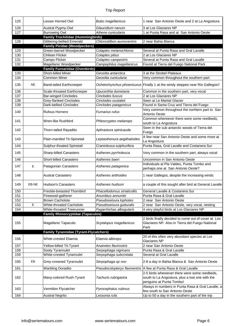| 125        |           | Lesser Horned Owl                                           | <b>Bubo magellanicus</b>                    | 1 near San Antonio Oeste and 2 at La Angostura                                                                 |
|------------|-----------|-------------------------------------------------------------|---------------------------------------------|----------------------------------------------------------------------------------------------------------------|
|            |           |                                                             |                                             |                                                                                                                |
| 126        |           | Austral Pygmy-Owl<br><b>Burrowing Owl</b>                   | Glaucidium nanum                            | 3 at Los Glaciares NP                                                                                          |
| 127        |           | <b>Family Trochilidae (Hummingbirds)</b>                    | Athene cunicularia                          | 1 at Punta Rasa and at San Antonio Oeste                                                                       |
| 128        |           | <b>Glittering-bellied Emerald</b>                           | Chlorostilbon aureoventris                  | 2 near Bahia Blanca                                                                                            |
|            |           | <b>Family Picidae (Woodpeckers)</b>                         |                                             |                                                                                                                |
| 129        |           | Green-barred Woodpecker                                     | Colaptes melanochloros                      | Several at Punta Rasa and Gral Lavalle                                                                         |
| 130        |           | Chilean Flicker                                             | Colaptes pitius                             | 2 at Los Glaciares NP                                                                                          |
| 131        |           | Campo Flicker                                               | Colaptes campestris                         | Several at Punta Rasa and Gral Lavalle                                                                         |
| 132        |           | Magellanic Woodpecker                                       | Campephilus magellanicus                    | Found at Tierra del Fuego National Park                                                                        |
|            |           | <b>Family Furnariidae (Ovenbirds)</b><br>Short-billed Miner |                                             |                                                                                                                |
| 133<br>134 |           | <b>Common Miner</b>                                         | Geositta antarctica<br>Geositta cunicularia | 3 at the Strobel Plateaux<br>Very common throughout the southern part                                          |
|            |           |                                                             |                                             |                                                                                                                |
| 135        | <b>NE</b> | <b>Band-tailed Earthcreeper</b>                             |                                             | Ochetorhynchus phoenicurus Finally 1 at the windy steppes near Rio Gallegos!!                                  |
| 136        |           | Scale-throated Earthcreeper                                 | Upucerthia dumetaria                        | Common in the southern part, very vocal                                                                        |
| 137        |           | <b>Bar-winged Cinclodes</b>                                 | Cinclodes fuscus                            | 2 at Los Glaciares NP                                                                                          |
| 138        |           | <b>Grey-flanked Cinclodes</b>                               | Cinclodes oustaleti                         | Seen at Le Martial Glacier                                                                                     |
| 139        |           | Dark-bellied Cinclodes                                      | Cinclodes patagonicus                       | Found in Santa Cruz and Tierra del Fuego                                                                       |
| 140        |           | Rufous Hornero                                              | Furnarius rufus                             | Very common throughout the norhtern part to San<br>Antonio Oeste                                               |
| 141        |           | Wren-like Rushbird                                          | Phleocryptes melanops                       | Common whereever there were some reedbeds,<br>south to La Angostura                                            |
|            |           |                                                             |                                             | Seen in the sub antarctic woods of Tierra del                                                                  |
| 142        |           | Thorn-tailed Rayadito                                       | Aphrastura spinicauda                       | Fuego                                                                                                          |
| 143        |           | Plain-mantled Tit-Spinetail                                 | Leptasthenura aegithaloides                 | A few near San Antonio Oeste and some more at<br>La Angostura                                                  |
| 144        |           | Sulphur-thoated Spinetail                                   | Cranioleuca sulphurifera                    | Punta Rasa, Gral Lavalle and Costanera Sur                                                                     |
| 145        |           | Sharp-billed Canastero                                      | Asthenes pyrrholeuca                        | Very common in the southern part, always vocal                                                                 |
|            |           |                                                             |                                             |                                                                                                                |
| 146        |           | Short-billed Canastero                                      | Asthenes baeri                              | Uncommon in San Antonio Oeste<br>Individuals at Pla Valdes, Punta Tombo and                                    |
| 147        | E         | Patagonian Canastero                                        | Asthenes patagonica                         | perhaps one at San Antonio Oeste?                                                                              |
| 148        |           | <b>Austral Canastero</b>                                    | Asthenes anthoides                          | 1 near Gallegos, despite the increasing winds                                                                  |
| 149        | EB-NE     | Hudson's Canastero                                          | Asthenes hudsoni                            | a couple of this sought after bird at General Lavalle                                                          |
| 150        |           | Freckle-breasted Thornbird                                  | Phacellodomus striaticollis                 | General Lavalle & Costanera Sur                                                                                |
| 151        |           | Firewood-gatherer                                           | Anumbius annumbi                            | Punta Rasa & Gral Lavalle                                                                                      |
| 152        |           | <b>Brown Cacholote</b>                                      | Pseudoseisura lophotes                      | 2 near San Antonio Oeste                                                                                       |
| 153        | Е         | <b>White-throated Cacholote</b>                             | Pseudoseisura gutturalis                    | 2 near San Antonio Oeste, very vocal, nesting                                                                  |
| 154        |           | <b>White-throated Treerunner</b>                            | Pygarrhichas albogularis                    | 4 very playful birds at Los Glaciares NP                                                                       |
|            |           | <b>Family Rhinocryptidae (Tapaculos)</b>                    |                                             |                                                                                                                |
| 155        |           | Magellanic Tapaculo                                         | Scytalopus magellanicus                     | 2 birds finally decided to come out of cover at Los<br>Glaciares NP. Also in Tierra del Fuego National<br>Park |
|            |           | <b>Family Tyrannidae (Tyrant-Flycatchers)</b>               |                                             |                                                                                                                |
| 156        |           | White-crested Elaenia                                       | Elaenia albiceps                            | 20 of this often very abundant species at Los<br>Glaciares NP                                                  |
| 157        |           | Yellow-billed Tit-Tyrant                                    | Anairetes flavirostris                      | 2 near San Antonio Oeste                                                                                       |
| 158        |           | Sooty Tyrannulet                                            | Serpophaga nigricans                        | Punta Rasa & Gral Lavalle                                                                                      |
| 159        |           | White-crested Tyrannulet                                    | Serpophaga subcristata                      | Several at Gral Lavalle                                                                                        |
| 160        | EB        | Grey-crowned Tyrannulet                                     | Serpophaga sp nov                           | 2-8 a day in Bahia Blanca & San Antonio Oeste                                                                  |
| 161        |           | <b>Warbling Doradito</b>                                    |                                             | Pseudocolopteryx flaviventris   A few at Punta Rasa & Gral Lavalle                                             |
|            |           |                                                             |                                             | 2-5 birds whereever there were some reedbeds,                                                                  |
| 162        |           | Many-colored Rush-Tyrant                                    | Tachuris rubrigastra                        | south to La Angostura, plus a lost one with the                                                                |
|            |           |                                                             |                                             | penguins at Punta Tombo!                                                                                       |
| 163        |           | Vermilion Flycatcher                                        | Pyrocephalus rubinus                        | Always in numbers in Punta Rasa & Gral Lavalle, a<br>few south to San Antonio Oeste                            |
| 164        |           | <b>Austral Negrito</b>                                      | Lessonia rufa                               | Up to 50 a day in the southern part of the trip                                                                |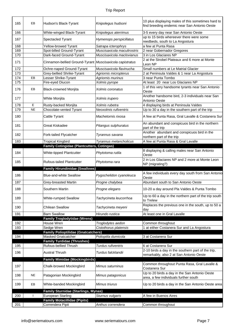| 165 | EB        | Hudson's Black-Tyrant                                    | Knipolegus hudsoni          | 10 plus displaying males of this sometimes hard to<br>find breeding endemic near San Antonio Oeste |
|-----|-----------|----------------------------------------------------------|-----------------------------|----------------------------------------------------------------------------------------------------|
| 166 |           | White-winged Black-Tyrant                                | Knipolegus aterrimus        | 3-5 every day near San Antonio Oeste                                                               |
| 167 |           | Spectacled Tyrant                                        | Hymenops perspicillatus     | up to 15 birds whereever there were some<br>reedbeds, south to La Angostura                        |
| 168 |           | Yellow-browed Tyrant                                     | Satrapa icterophrys         | a few at Punta Rasa                                                                                |
| 169 |           | Spot-billed Ground-Tyrant                                | Muscisaxicola maculirostris | 2 near Gobernador Gregores                                                                         |
| 170 |           | Dark-faced Ground-Tyrant                                 | Muscisaxicola maclovianus   | 3 in Los Glaciares NP                                                                              |
| 171 |           | Cinnamon-bellied Ground-Tyrant Muscisaxicola capistratus |                             | 2 at the Strobel Plateaux and 6 more at Monte<br>Leon NP                                           |
| 172 |           | Ochre-naped Ground-Tyrant                                | Muscisaxicola flavinucha    | Small numbers at Le Matrial Glacier                                                                |
| 173 |           | Grey-bellied Shrike-Tyrant                               | Agriornis micropterus       | 2 at Peninsula Valdes & 1 near La Angostura                                                        |
| 174 | EB        | Lesser Shrike-Tyrant                                     | Agriornis murinus           | 3 near Punta Tombo                                                                                 |
| 175 |           | Fire-eyed Diucon                                         | Xolmis pyrope               | At least 20 near Los Glaciares NP                                                                  |
| 176 | EB        | <b>Black-crowned Monjita</b>                             | Xolmis coronatus            | 1 of this very handsome tyrants near San Antonio<br>Oeste                                          |
| 177 |           | White Monjita                                            | Xolmis irupero              | Another handsome bird, 2-3 individuals near San<br>Antonio Oeste                                   |
| 178 | Ε         | Rusty-backed Monjita                                     | Xolmis rubetra              | 4 displaying birds at Peninsula Valdes                                                             |
| 179 | <b>NE</b> | Chocolate-vented Tyrant                                  | Neoxolmis rufiventris       | Up to 30 a day in the southern part of the trip                                                    |
| 180 |           | Cattle Tyrant                                            | Machetornis rixosa          | A few at Punta Rasa, Gral Lavalle & Costanera Sur                                                  |
| 181 |           | <b>Great Kiskadee</b>                                    | Pitangus sulphuratus        | An abundant and conspicuos bird in the northern<br>part of the trip                                |
| 182 |           | Fork-tailed Flycatcher                                   | Tyrannus savana             | Another abundant and conspicuos bird in the<br>northern part of the trip                           |
| 183 |           | <b>Tropical Kingbird</b>                                 | Tyrannus melancholicus      | A few at Punta Rasa & Gral Lavalle                                                                 |
|     |           | <b>Family Cotingidae (Plantcutters, Cotingas)</b>        |                             |                                                                                                    |
| 184 |           | White-tipped Plantcutter                                 | Phytotoma rutila            | 8 displaying & calling males near San Antonio<br>Oeste                                             |
| 185 |           | <b>Rufous-tailed Plantcutter</b>                         | Phytotoma rara              | 2 in Los Glaciares NP and 2 more at Monte Leon<br>NP (migrating?)                                  |
|     |           |                                                          |                             |                                                                                                    |
|     |           | <b>Family Hirundinidae (Swallows)</b>                    |                             |                                                                                                    |
| 186 |           | <b>Blue-and-white Swallow</b>                            | Pygochelidon cyanoleuca     | A few individuals every day south from San Antonio<br>Oeste                                        |
| 187 |           | Grey-breasted Martin                                     | Progne chalybea             | Abundant south to San Antonio Oeste                                                                |
| 188 |           | Southern Martin                                          | Progne elegans              | 10-20 a day around Pla Valdes & Punta Tombo                                                        |
| 189 |           | White-rumped Swallow                                     | Tachycineta leucorrhoa      | Up to 60 a day in the northern part of the trip south<br>to Trelew                                 |
| 190 |           | <b>Chilean Swallow</b>                                   | Tachycineta meyeni          | Replaces the previous one in the south, up to 50 a<br>day                                          |
| 191 |           | <b>Barn Swallow</b>                                      | Hirundo rustica             | At least one in Gral Lavalle                                                                       |
|     |           | <b>Family Troglodytidae (Wrens)</b>                      |                             |                                                                                                    |
| 192 |           | House Wren                                               | Troglodytes aedon           | Common throughout                                                                                  |
| 193 |           | Sedge Wren                                               | Cistothorus platensis       | 1 at either Costanera Sur and La Angostura                                                         |
|     |           | <b>Family Polioptilidae (Gnatcatchers)</b>               |                             |                                                                                                    |
| 194 |           | <b>Masked Gnatcatcher</b>                                | Polioptila dumicola         | 3 at Costanera Sur                                                                                 |
|     |           | <b>Family Turdidae (Thrushes)</b>                        |                             |                                                                                                    |
| 195 |           | Rufous-bellied Thrush                                    | Turdus rufiventris          | 6 at Costanera Sur                                                                                 |
| 196 |           | <b>Austral Thrush</b>                                    | Turdus falcklandii          | 2-10 birds a day in the southern part of the trip,<br>remarkably, also 2 at San Antonio Oeste      |
|     |           | <b>Family Mimidae (Mockingbirds)</b>                     |                             |                                                                                                    |
| 197 |           | Chalk-browed Mockingbird                                 | Mimus saturninus            | Common throughout Punta Rasa, Gral Lavalle &<br>Costanera Sur                                      |
| 198 | <b>NE</b> | Patagonian Mockingbird                                   | Mimus patagonicus           | Up to 20 birds a day in the San Antonio Oeste<br>area, a few individuals further south             |
| 199 | EB        | White-banded Mockingbird                                 | Mimus triurus               | Up to 20 birds a day in the San Antonio Oeste area                                                 |
|     |           | <b>Family Sturnidae (Starlings, Mynas)</b>               |                             |                                                                                                    |
| 200 |           | <b>European Starling</b>                                 | Sturnus vulgaris            | A few in Buenos Aires                                                                              |
| 201 |           | <b>Family Motacillidae (Pipits)</b><br>Correndera Pipit  | Anthus correndera           | Common throughout                                                                                  |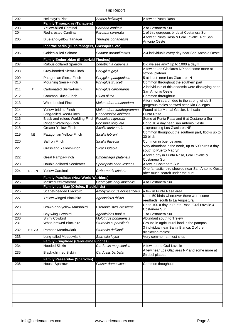| 202        |           | Hellmayr's Pipit                                            | Anthus hellmayri                                   | A few at Punta Rasa                                                                    |
|------------|-----------|-------------------------------------------------------------|----------------------------------------------------|----------------------------------------------------------------------------------------|
|            |           | <b>Family Thraupidae (Tanagers)</b>                         |                                                    |                                                                                        |
| 203        |           | Yellow-billed Cardinal                                      | Paroaria capitata                                  | 2 at Costanera Sur                                                                     |
| 204        |           | <b>Red-crested Cardinal</b>                                 | Paroaria coronata                                  | 1 of this gorgeous birds at Costanera Sur                                              |
| 205        |           | Blue-and-yellow Tanager                                     | Thraupis bonariensis                               | A few at Punta Rasa & Gral Lavalle, 4 at San<br>Antonio Oeste                          |
|            |           | Incertae sedis (Bush tanagers, Grassquits, etc)             |                                                    |                                                                                        |
| 206        |           | Golden-billed Saltator                                      | Saltator aurantiirostris                           | 2-4 individuals every day near San Antonio Oeste                                       |
|            |           | <b>Family Emberizidae (Emberizid Finches)</b>               |                                                    |                                                                                        |
| 207        |           | <b>Rufous-collared Sparrow</b>                              | Zonotrichia capensis                               | Did we see any? Up to 1000 a day!!!                                                    |
| 208        |           | Gray-hooded Sierra-Finch                                    | Phrygilus gayi                                     | A few at Los Glaciares NP and some more at<br>strobel plateau                          |
| 209        |           | Patagonian Sierra-Finch                                     | Phrygilus patagonicus                              | 5 at least near Los Glaciares N                                                        |
| 210        |           | Mourning Sierra-Finch                                       | Phrygilus fruticeti                                | Common throughout the southern part                                                    |
| 211        | Е         | Carbonated Sierra-Finch                                     | Phrygilus carbonarius                              | 2 individuals of this endemic were displaying near<br>San Antonio Oeste                |
| 212        |           | Common Diuca-Finch                                          | Diuca diuca                                        | Common throughout                                                                      |
| 213        |           | <b>White-bridled Finch</b>                                  | Melanodera melanodera                              | After much search due to the strong winds 3<br>gorgeous males showed near Rio Gallegos |
| 214        |           | Yellow-bridled Finch                                        | Melanodera xanthogramma                            | Found at Le Martial Glacier, Ushuaia                                                   |
| 215        |           | Long-tailed Reed-Finch                                      | Donacospiza albifrons                              | Punta Rasa                                                                             |
| 216        |           | Black-and-rufous Warbling-Finch                             | Poospiza nigrorufa                                 | Some at Punta Rasa and 6 at Costanera Sur                                              |
| 217        |           | Ringed Warbling-Finch                                       | Poospiza torquata                                  | Up to 10 a day near San Antonio Oeste                                                  |
| 218        |           | <b>Greater Yellow-Finch</b>                                 | Sicalis auriventris                                | 1 aproaching Los Glaciares NP                                                          |
| 219        | <b>NE</b> | Patagonian Yellow-Finch                                     | Sicalis lebruni                                    | Common thoughout the southern part, flocks up to<br>30 birds                           |
| 220        |           | Saffron Finch                                               | Sicalis flaveola                                   | Common in buenos aires                                                                 |
| 221        |           | Grassland Yellow-Finch                                      | Sicalis Iuteola                                    | Very abundant in the north, up to 500 birds a day<br>south to Puerto Madryn            |
| 222        |           | Great Pampa-Finch                                           | Embernagra platensis                               | A few a day in Punta Rasa, Gral Lavalle &<br>Costanera Sur                             |
|            |           |                                                             |                                                    |                                                                                        |
| 223        |           | Double-collared Seedeater                                   | Sporophila caerulescens                            | A few in Costanera Sur                                                                 |
| 224        | NE-EN     | <b>Yellow Cardinal</b>                                      | Gubernatrix cristata                               | One fantastic bird showed near San Antonio Oeste<br>after much search under the sun!   |
|            |           | <b>Family Parulidae (New World Warblers)</b>                |                                                    |                                                                                        |
| 225        |           | Masked Yellowthroat                                         | Geothlypis aequinoctialis                          | 4 at Costanera Sur                                                                     |
|            |           | Family Icteridae (Orioles, Blackbirds)                      |                                                    |                                                                                        |
| 226        |           | Scarlet-headed Blackbird                                    | Amblyramphus holosericeus                          | a few in Punta Rasa area                                                               |
| 227        |           | Yellow-winged Blackbird                                     | Agelasticus thilius                                | Up to 50 birds whereever there were some<br>reedbeds, south to La Angostura            |
| 228        |           | Brown-and-yellow Marshbird                                  | Pseudoleistes virescens                            | Up to 100 a day in Punta Rasa, Gral Lavalle &                                          |
|            |           |                                                             |                                                    | Costanera Sur                                                                          |
| 229        |           | Bay-wing Cowbird                                            | Agelaioides badius<br><b>Molothrus bonariensis</b> | 1 at Costanera Sur                                                                     |
| 230<br>231 |           | <b>Shiny Cowbird</b><br>White-browed Blackbird              |                                                    | Abundant south to Trelew                                                               |
|            |           |                                                             | Sturnella superciliaris                            | Groups in agricultural land in the pampas                                              |
| 232        | NE-VU     | Pampas Meadowlark                                           | Sturnella defilippii                               | 3 individual near Bahia Blanca, 2 of them<br>displaying males!                         |
| 233        |           | Long-tailed Meadowlark                                      | Sturnella loyca                                    | Very common at most sites                                                              |
|            |           | <b>Family Fringilidae (Cardueline Finches)</b>              |                                                    |                                                                                        |
| 234        |           | <b>Hooded Siskin</b>                                        | Carduelis magellanica                              | A few aound Gral Lavalle                                                               |
| 235        |           | <b>Black-chinned Siskin</b>                                 | Carduelis barbata                                  | A few near Los Glaciares NP and some more at<br>Strobel plateau                        |
|            |           |                                                             |                                                    |                                                                                        |
| 236        |           | <b>Family Passeridae (Sparrows)</b><br><b>House Sparrow</b> | Passer domesticus                                  | Common thoughout                                                                       |
|            |           |                                                             |                                                    |                                                                                        |
|            |           |                                                             |                                                    |                                                                                        |
|            |           |                                                             |                                                    |                                                                                        |
|            |           |                                                             |                                                    |                                                                                        |
|            |           |                                                             |                                                    |                                                                                        |
|            |           |                                                             |                                                    |                                                                                        |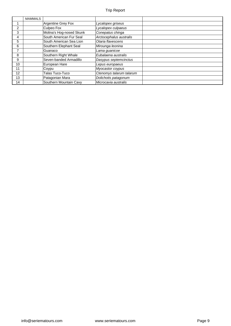|                | <b>MAMMALS</b> |                          |                          |  |
|----------------|----------------|--------------------------|--------------------------|--|
|                |                | Argentine Grey Fox       | Lycalopex griseus        |  |
| $\overline{2}$ |                | Culpeo Fox               | Lycalopex culpaeus       |  |
| 3              |                | Molina's Hog-nosed Skunk | Conepatus chinga         |  |
| 4              |                | South American Fur Seal  | Arctocephalus australis  |  |
| 5              |                | South American Sea Lion  | Otaria flavescens        |  |
| 6              |                | Southern Elephant Seal   | Mirounga leonina         |  |
| 7              |                | Guanaco                  | Lama guanicoe            |  |
| 8              |                | Southern Right Whale     | Eubalaena australis      |  |
| 9              |                | Seven-banded Armadillo   | Dasypus septemcinctus    |  |
| 10             |                | European Hare            | Lepus europaeus          |  |
| 11             |                | Coypu                    | Myocastor coypus         |  |
| 12             |                | Talas Tuco-Tuco          | Ctenomys talarum talarum |  |
| 13             |                | Patagonian Mara          | Dolichotis patagonum     |  |
| 14             |                | Southern Mountain Cavy   | Microcavia australis     |  |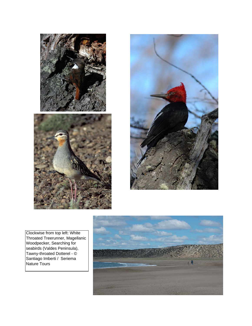





Clockwise from top left: White Throated Treerunner, Magellanic Woodpecker, Searching for seabirds (Valdes Peninsula), Tawny-throated Dotterel - © Santiago Imberti / Seriema Nature Tours